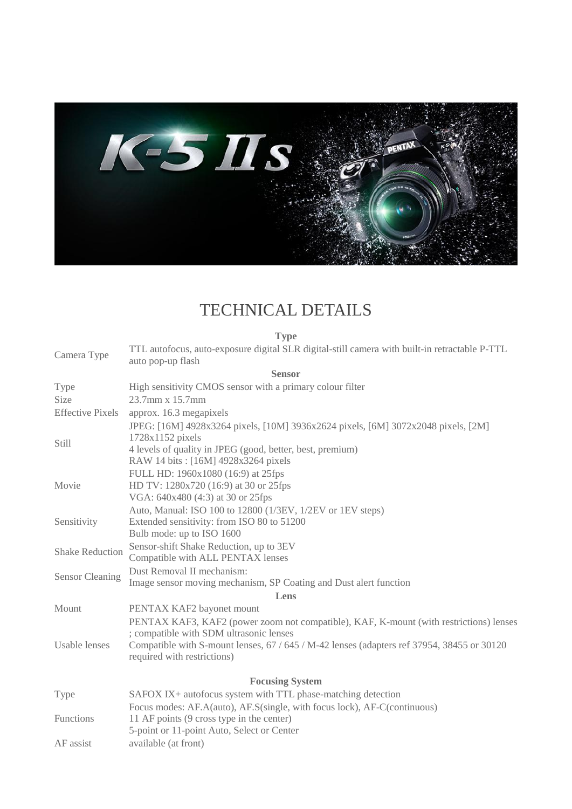

## TECHNICAL DETAILS

**Type** Camera Type TTL autofocus, auto-exposure digital SLR digital-still camera with built-in retractable P-TTL auto pop-up flash **Sensor** Type High sensitivity CMOS sensor with a primary colour filter Size 23.7mm x 15.7mm Effective Pixels approx. 16.3 megapixels Still JPEG: [16M] 4928x3264 pixels, [10M] 3936x2624 pixels, [6M] 3072x2048 pixels, [2M] 1728x1152 pixels 4 levels of quality in JPEG (good, better, best, premium) RAW 14 bits : [16M] 4928x3264 pixels Movie FULL HD: 1960x1080 (16:9) at 25fps HD TV: 1280x720 (16:9) at 30 or 25fps VGA: 640x480 (4:3) at 30 or 25fps Sensitivity Auto, Manual: ISO 100 to 12800 (1/3EV, 1/2EV or 1EV steps) Extended sensitivity: from ISO 80 to 51200 Bulb mode: up to ISO 1600 Shake Reduction Sensor-shift Shake Reduction, up to 3EV Compatible with ALL PENTAX lenses Sensor Cleaning Dust Removal II mechanism: Image sensor moving mechanism, SP Coating and Dust alert function **Lens** Mount PENTAX KAF2 bayonet mount Usable lenses PENTAX KAF3, KAF2 (power zoom not compatible), KAF, K-mount (with restrictions) lenses ; compatible with SDM ultrasonic lenses Compatible with S-mount lenses, 67 / 645 / M-42 lenses (adapters ref 37954, 38455 or 30120 required with restrictions) **Focusing System** Type SAFOX IX+ autofocus system with TTL phase-matching detection Functions Focus modes: AF.A(auto), AF.S(single, with focus lock), AF-C(continuous) 11 AF points (9 cross type in the center) 5-point or 11-point Auto, Select or Center AF assist available (at front)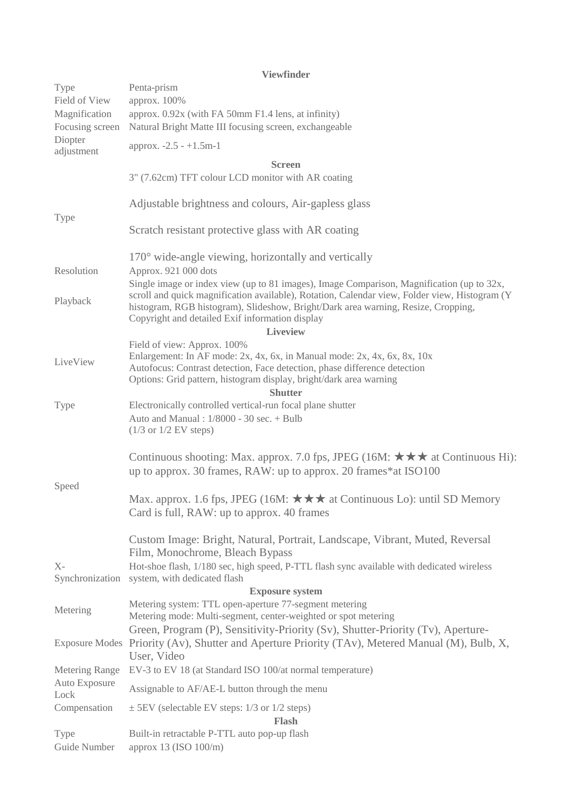|                       | <b>Viewfinder</b>                                                                                                                                                                                                                                                                                                                              |
|-----------------------|------------------------------------------------------------------------------------------------------------------------------------------------------------------------------------------------------------------------------------------------------------------------------------------------------------------------------------------------|
| Type                  | Penta-prism                                                                                                                                                                                                                                                                                                                                    |
| Field of View         | арргох. 100%                                                                                                                                                                                                                                                                                                                                   |
| Magnification         | approx. 0.92x (with FA 50mm F1.4 lens, at infinity)                                                                                                                                                                                                                                                                                            |
| Focusing screen       | Natural Bright Matte III focusing screen, exchangeable                                                                                                                                                                                                                                                                                         |
| Diopter<br>adjustment | approx. $-2.5 - +1.5m-1$                                                                                                                                                                                                                                                                                                                       |
|                       | <b>Screen</b>                                                                                                                                                                                                                                                                                                                                  |
|                       | 3" (7.62cm) TFT colour LCD monitor with AR coating                                                                                                                                                                                                                                                                                             |
| Type                  | Adjustable brightness and colours, Air-gapless glass                                                                                                                                                                                                                                                                                           |
|                       | Scratch resistant protective glass with AR coating                                                                                                                                                                                                                                                                                             |
|                       | $170^{\circ}$ wide-angle viewing, horizontally and vertically                                                                                                                                                                                                                                                                                  |
| Resolution            | Approx. 921 000 dots                                                                                                                                                                                                                                                                                                                           |
| Playback              | Single image or index view (up to 81 images), Image Comparison, Magnification (up to 32x,<br>scroll and quick magnification available), Rotation, Calendar view, Folder view, Histogram (Y<br>histogram, RGB histogram), Slideshow, Bright/Dark area warning, Resize, Cropping,<br>Copyright and detailed Exif information display<br>Liveview |
|                       | Field of view: Approx. 100%                                                                                                                                                                                                                                                                                                                    |
| LiveView              | Enlargement: In AF mode: 2x, 4x, 6x, in Manual mode: 2x, 4x, 6x, 8x, 10x                                                                                                                                                                                                                                                                       |
|                       | Autofocus: Contrast detection, Face detection, phase difference detection                                                                                                                                                                                                                                                                      |
|                       | Options: Grid pattern, histogram display, bright/dark area warning                                                                                                                                                                                                                                                                             |
|                       | <b>Shutter</b><br>Electronically controlled vertical-run focal plane shutter                                                                                                                                                                                                                                                                   |
| Type                  | Auto and Manual: 1/8000 - 30 sec. + Bulb<br>$(1/3 \text{ or } 1/2 \text{ EV steps})$                                                                                                                                                                                                                                                           |
| Speed                 | Continuous shooting: Max. approx. 7.0 fps, JPEG (16M: $\star \star \star$ at Continuous Hi):<br>up to approx. 30 frames, RAW: up to approx. 20 frames*at ISO100                                                                                                                                                                                |
|                       | Max. approx. 1.6 fps, JPEG (16M: $\star \star \star$ at Continuous Lo): until SD Memory<br>Card is full, RAW: up to approx. 40 frames                                                                                                                                                                                                          |
|                       | Custom Image: Bright, Natural, Portrait, Landscape, Vibrant, Muted, Reversal<br>Film, Monochrome, Bleach Bypass                                                                                                                                                                                                                                |
| $X-$                  | Hot-shoe flash, 1/180 sec, high speed, P-TTL flash sync available with dedicated wireless                                                                                                                                                                                                                                                      |
|                       | Synchronization system, with dedicated flash<br><b>Exposure system</b>                                                                                                                                                                                                                                                                         |
|                       | Metering system: TTL open-aperture 77-segment metering                                                                                                                                                                                                                                                                                         |
| Metering              | Metering mode: Multi-segment, center-weighted or spot metering                                                                                                                                                                                                                                                                                 |
|                       | Green, Program (P), Sensitivity-Priority (Sv), Shutter-Priority (Tv), Aperture-<br>Exposure Modes Priority (Av), Shutter and Aperture Priority (TAv), Metered Manual (M), Bulb, X,<br>User, Video                                                                                                                                              |
| Metering Range        | EV-3 to EV 18 (at Standard ISO 100/at normal temperature)                                                                                                                                                                                                                                                                                      |
| Auto Exposure         | Assignable to AF/AE-L button through the menu                                                                                                                                                                                                                                                                                                  |
| Lock<br>Compensation  | $\pm$ 5EV (selectable EV steps: 1/3 or 1/2 steps)                                                                                                                                                                                                                                                                                              |
|                       | <b>Flash</b>                                                                                                                                                                                                                                                                                                                                   |
| Type<br>Guide Number  | Built-in retractable P-TTL auto pop-up flash<br>approx 13 (ISO 100/m)                                                                                                                                                                                                                                                                          |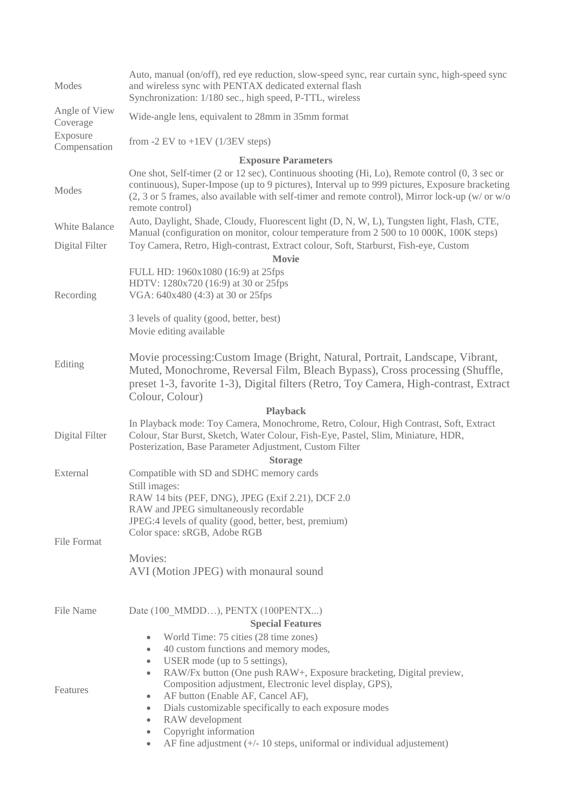| Modes                      | Auto, manual (on/off), red eye reduction, slow-speed sync, rear curtain sync, high-speed sync<br>and wireless sync with PENTAX dedicated external flash<br>Synchronization: 1/180 sec., high speed, P-TTL, wireless                                                                                                                                  |  |
|----------------------------|------------------------------------------------------------------------------------------------------------------------------------------------------------------------------------------------------------------------------------------------------------------------------------------------------------------------------------------------------|--|
| Angle of View<br>Coverage  | Wide-angle lens, equivalent to 28mm in 35mm format                                                                                                                                                                                                                                                                                                   |  |
| Exposure<br>Compensation   | from $-2$ EV to $+1$ EV (1/3EV steps)                                                                                                                                                                                                                                                                                                                |  |
| <b>Exposure Parameters</b> |                                                                                                                                                                                                                                                                                                                                                      |  |
| Modes                      | One shot, Self-timer (2 or 12 sec), Continuous shooting (Hi, Lo), Remote control $(0, 3 \text{ sec or})$<br>continuous), Super-Impose (up to 9 pictures), Interval up to 999 pictures, Exposure bracketing<br>$(2, 3 \text{ or } 5 \text{ frames},$ also available with self-timer and remote control), Mirror lock-up (w/ or w/o<br>remote control) |  |
| White Balance              | Auto, Daylight, Shade, Cloudy, Fluorescent light (D, N, W, L), Tungsten light, Flash, CTE,<br>Manual (configuration on monitor, colour temperature from 2 500 to 10 000K, 100K steps)                                                                                                                                                                |  |
| Digital Filter             | Toy Camera, Retro, High-contrast, Extract colour, Soft, Starburst, Fish-eye, Custom<br><b>Movie</b>                                                                                                                                                                                                                                                  |  |
|                            | FULL HD: 1960x1080 (16:9) at 25fps                                                                                                                                                                                                                                                                                                                   |  |
|                            | HDTV: 1280x720 (16:9) at 30 or 25fps                                                                                                                                                                                                                                                                                                                 |  |
| Recording                  | VGA: 640x480 (4:3) at 30 or 25fps                                                                                                                                                                                                                                                                                                                    |  |
|                            | 3 levels of quality (good, better, best)<br>Movie editing available                                                                                                                                                                                                                                                                                  |  |
| Editing                    | Movie processing: Custom Image (Bright, Natural, Portrait, Landscape, Vibrant,<br>Muted, Monochrome, Reversal Film, Bleach Bypass), Cross processing (Shuffle,<br>preset 1-3, favorite 1-3), Digital filters (Retro, Toy Camera, High-contrast, Extract<br>Colour, Colour)<br><b>Playback</b>                                                        |  |
|                            | In Playback mode: Toy Camera, Monochrome, Retro, Colour, High Contrast, Soft, Extract                                                                                                                                                                                                                                                                |  |
| Digital Filter             | Colour, Star Burst, Sketch, Water Colour, Fish-Eye, Pastel, Slim, Miniature, HDR,<br>Posterization, Base Parameter Adjustment, Custom Filter                                                                                                                                                                                                         |  |
|                            | <b>Storage</b>                                                                                                                                                                                                                                                                                                                                       |  |
| External                   | Compatible with SD and SDHC memory cards                                                                                                                                                                                                                                                                                                             |  |
|                            | Still images:                                                                                                                                                                                                                                                                                                                                        |  |
|                            | RAW 14 bits (PEF, DNG), JPEG (Exif 2.21), DCF 2.0                                                                                                                                                                                                                                                                                                    |  |
|                            | RAW and JPEG simultaneously recordable                                                                                                                                                                                                                                                                                                               |  |
|                            | JPEG:4 levels of quality (good, better, best, premium)<br>Color space: sRGB, Adobe RGB                                                                                                                                                                                                                                                               |  |
| <b>File Format</b>         |                                                                                                                                                                                                                                                                                                                                                      |  |
|                            | Movies:                                                                                                                                                                                                                                                                                                                                              |  |
|                            | AVI (Motion JPEG) with monaural sound                                                                                                                                                                                                                                                                                                                |  |
| File Name                  | Date (100 MMDD), PENTX (100PENTX)                                                                                                                                                                                                                                                                                                                    |  |
|                            | <b>Special Features</b>                                                                                                                                                                                                                                                                                                                              |  |
|                            | World Time: 75 cities (28 time zones)<br>$\bullet$                                                                                                                                                                                                                                                                                                   |  |
|                            | 40 custom functions and memory modes,<br>$\bullet$                                                                                                                                                                                                                                                                                                   |  |
|                            | USER mode (up to 5 settings),<br>$\bullet$                                                                                                                                                                                                                                                                                                           |  |
|                            | RAW/Fx button (One push RAW+, Exposure bracketing, Digital preview,<br>$\bullet$                                                                                                                                                                                                                                                                     |  |
| Features                   | Composition adjustment, Electronic level display, GPS),<br>AF button (Enable AF, Cancel AF),<br>$\bullet$                                                                                                                                                                                                                                            |  |
|                            | Dials customizable specifically to each exposure modes<br>$\bullet$                                                                                                                                                                                                                                                                                  |  |
|                            | RAW development<br>$\bullet$                                                                                                                                                                                                                                                                                                                         |  |
|                            | Copyright information<br>$\bullet$                                                                                                                                                                                                                                                                                                                   |  |
|                            | AF fine adjustment $(+/- 10$ steps, uniformal or individual adjustement)<br>۰                                                                                                                                                                                                                                                                        |  |